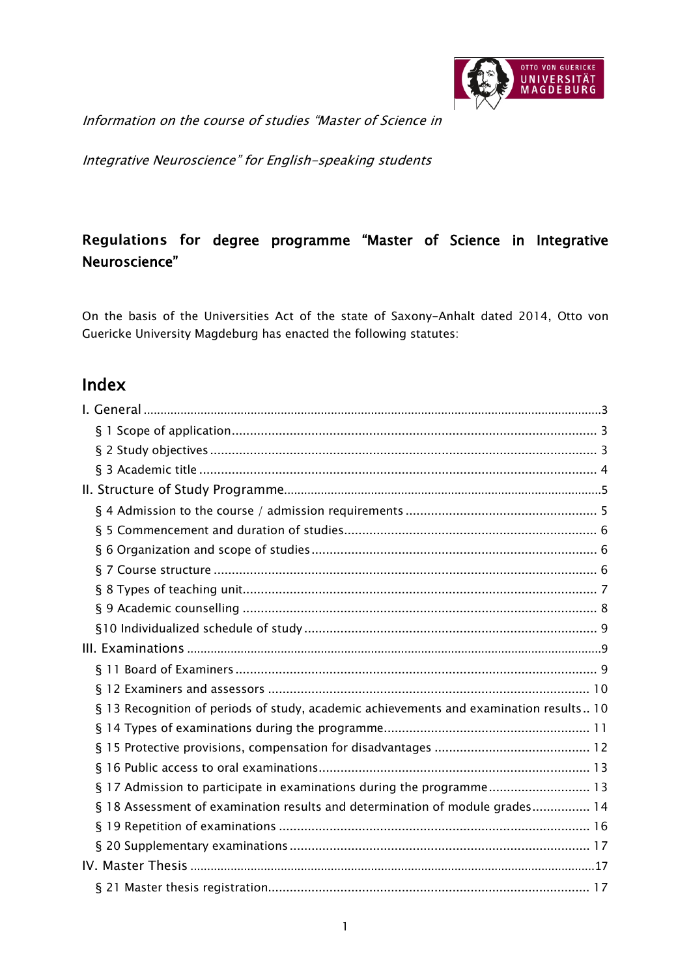

Information on the course of studies "Master of Science in

Integrative Neuroscience" for English-speaking students

# Regulations for degree programme "Master of Science in Integrative Neuroscience"

On the basis of the Universities Act of the state of Saxony-Anhalt dated 2014, Otto von Guericke University Magdeburg has enacted the following statutes:

# Index

| § 13 Recognition of periods of study, academic achievements and examination results 10 |
|----------------------------------------------------------------------------------------|
|                                                                                        |
|                                                                                        |
|                                                                                        |
| § 17 Admission to participate in examinations during the programme 13                  |
| § 18 Assessment of examination results and determination of module grades 14           |
|                                                                                        |
|                                                                                        |
|                                                                                        |
|                                                                                        |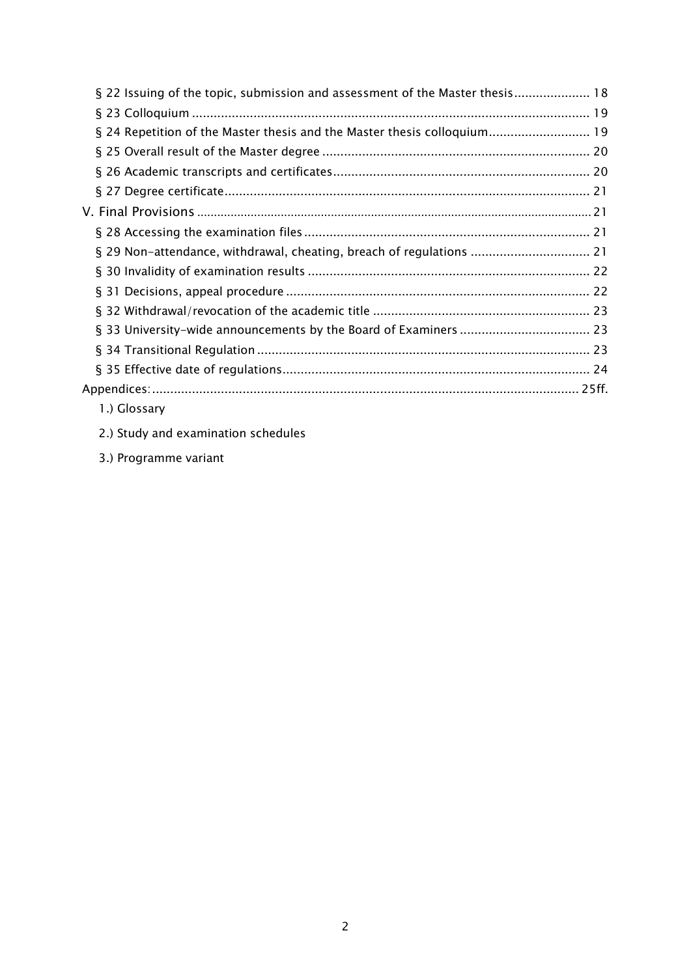| § 22 Issuing of the topic, submission and assessment of the Master thesis 18 |  |
|------------------------------------------------------------------------------|--|
|                                                                              |  |
| § 24 Repetition of the Master thesis and the Master thesis colloquium 19     |  |
|                                                                              |  |
|                                                                              |  |
|                                                                              |  |
|                                                                              |  |
|                                                                              |  |
| § 29 Non-attendance, withdrawal, cheating, breach of regulations  21         |  |
|                                                                              |  |
|                                                                              |  |
|                                                                              |  |
|                                                                              |  |
|                                                                              |  |
|                                                                              |  |
|                                                                              |  |
| 1.) Glossary                                                                 |  |

- 2.) Study and examination schedules
- <span id="page-1-0"></span>3.) Programme variant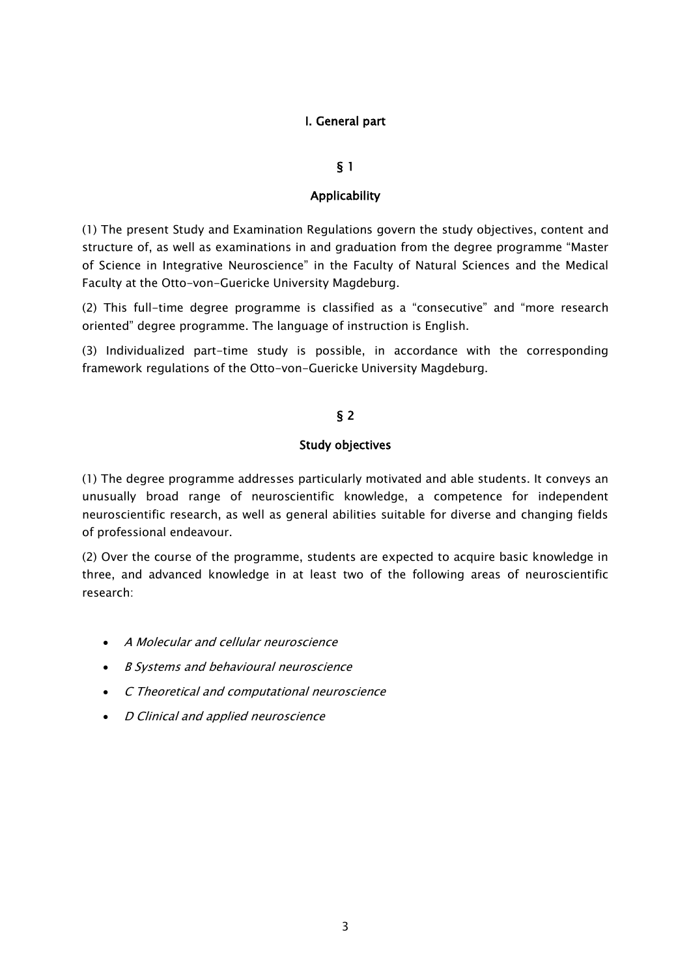# I. General part

# § 1

### Applicability

<span id="page-2-1"></span><span id="page-2-0"></span>(1) The present Study and Examination Regulations govern the study objectives, content and structure of, as well as examinations in and graduation from the degree programme "Master of Science in Integrative Neuroscience" in the Faculty of Natural Sciences and the Medical Faculty at the Otto-von-Guericke University Magdeburg.

(2) This full-time degree programme is classified as a "consecutive" and "more research oriented" degree programme. The language of instruction is English.

<span id="page-2-2"></span>(3) Individualized part-time study is possible, in accordance with the corresponding framework regulations of the Otto-von-Guericke University Magdeburg.

# § 2

### Study objectives

<span id="page-2-3"></span>(1) The degree programme addresses particularly motivated and able students. It conveys an unusually broad range of neuroscientific knowledge, a competence for independent neuroscientific research, as well as general abilities suitable for diverse and changing fields of professional endeavour.

(2) Over the course of the programme, students are expected to acquire basic knowledge in three, and advanced knowledge in at least two of the following areas of neuroscientific research:

- A Molecular and cellular neuroscience
- B Systems and behavioural neuroscience
- C Theoretical and computational neuroscience
- D Clinical and applied neuroscience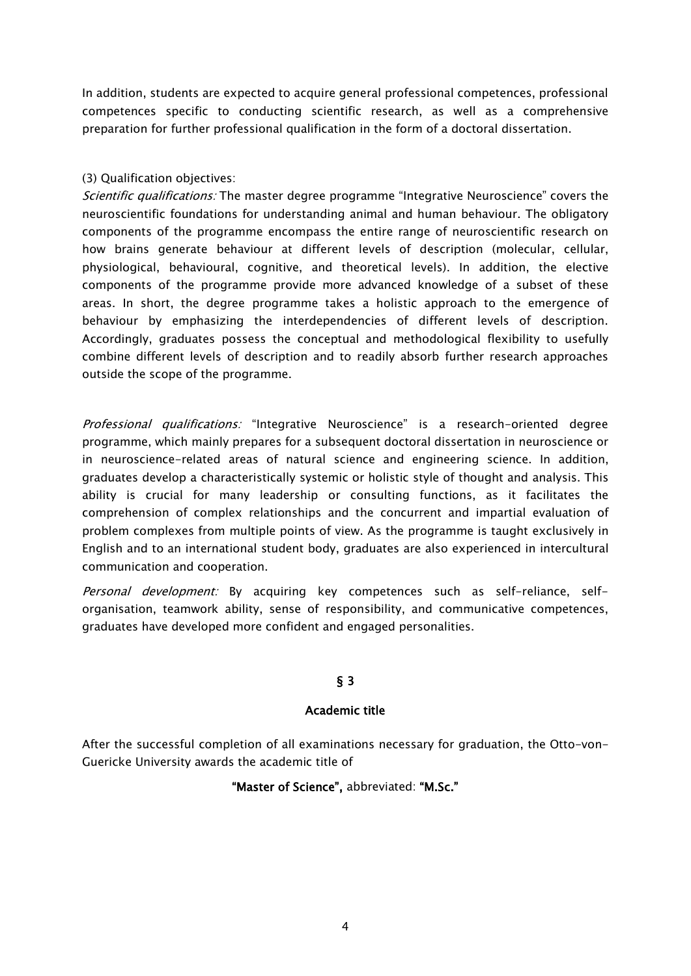In addition, students are expected to acquire general professional competences, professional competences specific to conducting scientific research, as well as a comprehensive preparation for further professional qualification in the form of a doctoral dissertation.

### (3) Qualification objectives:

Scientific qualifications: The master degree programme "Integrative Neuroscience" covers the neuroscientific foundations for understanding animal and human behaviour. The obligatory components of the programme encompass the entire range of neuroscientific research on how brains generate behaviour at different levels of description (molecular, cellular, physiological, behavioural, cognitive, and theoretical levels). In addition, the elective components of the programme provide more advanced knowledge of a subset of these areas. In short, the degree programme takes a holistic approach to the emergence of behaviour by emphasizing the interdependencies of different levels of description. Accordingly, graduates possess the conceptual and methodological flexibility to usefully combine different levels of description and to readily absorb further research approaches outside the scope of the programme.

Professional qualifications: "Integrative Neuroscience" is a research-oriented degree programme, which mainly prepares for a subsequent doctoral dissertation in neuroscience or in neuroscience-related areas of natural science and engineering science. In addition, graduates develop a characteristically systemic or holistic style of thought and analysis. This ability is crucial for many leadership or consulting functions, as it facilitates the comprehension of complex relationships and the concurrent and impartial evaluation of problem complexes from multiple points of view. As the programme is taught exclusively in English and to an international student body, graduates are also experienced in intercultural communication and cooperation.

Personal development: By acquiring key competences such as self-reliance, selforganisation, teamwork ability, sense of responsibility, and communicative competences, graduates have developed more confident and engaged personalities.

# § 3

### Academic title

<span id="page-3-1"></span><span id="page-3-0"></span>After the successful completion of all examinations necessary for graduation, the Otto-von-Guericke University awards the academic title of

# "Master of Science", abbreviated: "M.Sc."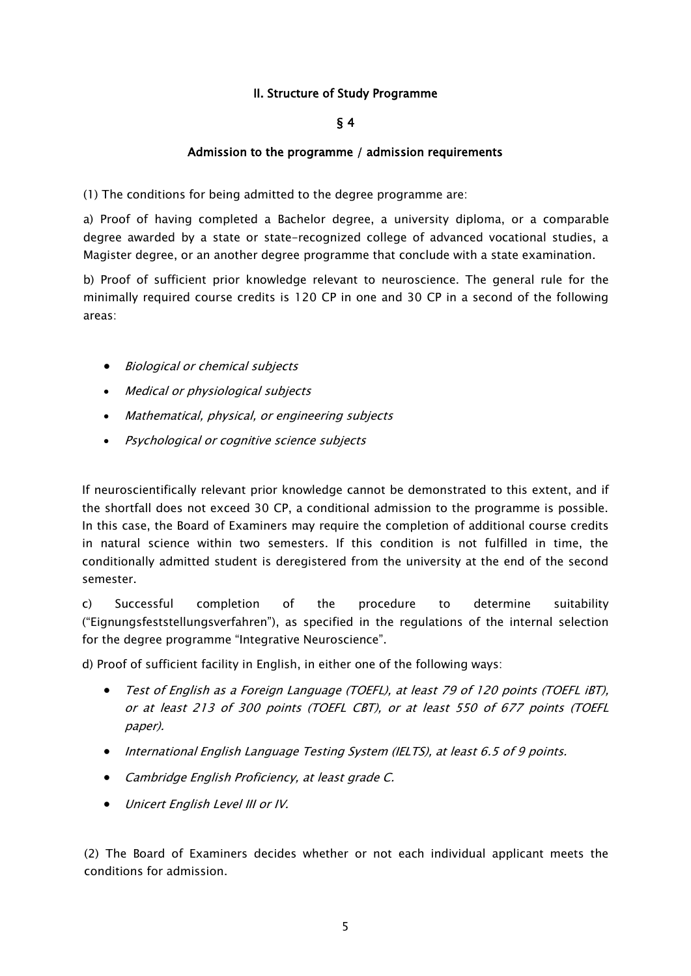### II. Structure of Study Programme

### § 4

#### Admission to the programme / admission requirements

<span id="page-4-2"></span><span id="page-4-1"></span><span id="page-4-0"></span>(1) The conditions for being admitted to the degree programme are:

a) Proof of having completed a Bachelor degree, a university diploma, or a comparable degree awarded by a state or state-recognized college of advanced vocational studies, a Magister degree, or an another degree programme that conclude with a state examination.

b) Proof of sufficient prior knowledge relevant to neuroscience. The general rule for the minimally required course credits is 120 CP in one and 30 CP in a second of the following areas:

- Biological or chemical subjects
- Medical or physiological subjects
- Mathematical, physical, or engineering subjects
- Psychological or cognitive science subjects

If neuroscientifically relevant prior knowledge cannot be demonstrated to this extent, and if the shortfall does not exceed 30 CP, a conditional admission to the programme is possible. In this case, the Board of Examiners may require the completion of additional course credits in natural science within two semesters. If this condition is not fulfilled in time, the conditionally admitted student is deregistered from the university at the end of the second semester.

c) Successful completion of the procedure to determine suitability ("Eignungsfeststellungsverfahren"), as specified in the regulations of the internal selection for the degree programme "Integrative Neuroscience".

d) Proof of sufficient facility in English, in either one of the following ways:

- Test of English as a Foreign Language (TOEFL), at least 79 of 120 points (TOEFL iBT), or at least 213 of 300 points (TOEFL CBT), or at least 550 of 677 points (TOEFL paper).
- International English Language Testing System (IELTS), at least 6.5 of 9 points.
- Cambridge English Proficiency, at least grade C.
- Unicert English Level III or IV.

(2) The Board of Examiners decides whether or not each individual applicant meets the conditions for admission.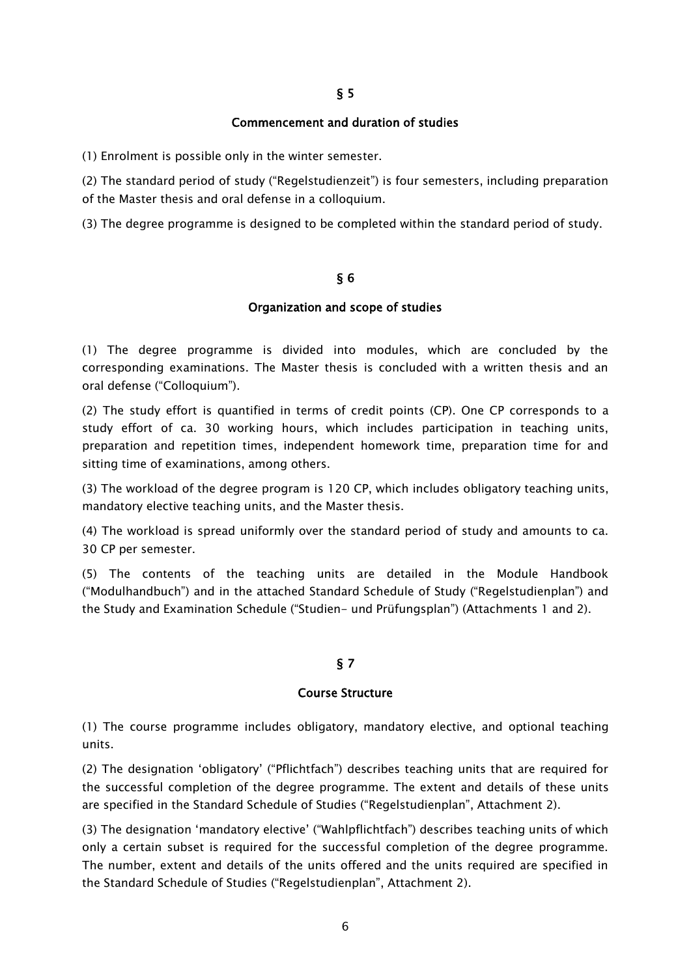#### Commencement and duration of studies

<span id="page-5-1"></span><span id="page-5-0"></span>(1) Enrolment is possible only in the winter semester.

(2) The standard period of study ("Regelstudienzeit") is four semesters, including preparation of the Master thesis and oral defense in a colloquium.

<span id="page-5-2"></span>(3) The degree programme is designed to be completed within the standard period of study.

#### § 6

#### Organization and scope of studies

(1) The degree programme is divided into modules, which are concluded by the corresponding examinations. The Master thesis is concluded with a written thesis and an oral defense ("Colloquium").

(2) The study effort is quantified in terms of credit points (CP). One CP corresponds to a study effort of ca. 30 working hours, which includes participation in teaching units, preparation and repetition times, independent homework time, preparation time for and sitting time of examinations, among others.

(3) The workload of the degree program is 120 CP, which includes obligatory teaching units, mandatory elective teaching units, and the Master thesis.

(4) The workload is spread uniformly over the standard period of study and amounts to ca. 30 CP per semester.

(5) The contents of the teaching units are detailed in the Module Handbook ("Modulhandbuch") and in the attached Standard Schedule of Study ("Regelstudienplan") and the Study and Examination Schedule ("Studien- und Prüfungsplan") (Attachments 1 and 2).

### § 7

#### Course Structure

<span id="page-5-3"></span>(1) The course programme includes obligatory, mandatory elective, and optional teaching units.

(2) The designation 'obligatory' ("Pflichtfach") describes teaching units that are required for the successful completion of the degree programme. The extent and details of these units are specified in the Standard Schedule of Studies ("Regelstudienplan", Attachment 2).

(3) The designation 'mandatory elective' ("Wahlpflichtfach") describes teaching units of which only a certain subset is required for the successful completion of the degree programme. The number, extent and details of the units offered and the units required are specified in the Standard Schedule of Studies ("Regelstudienplan", Attachment 2).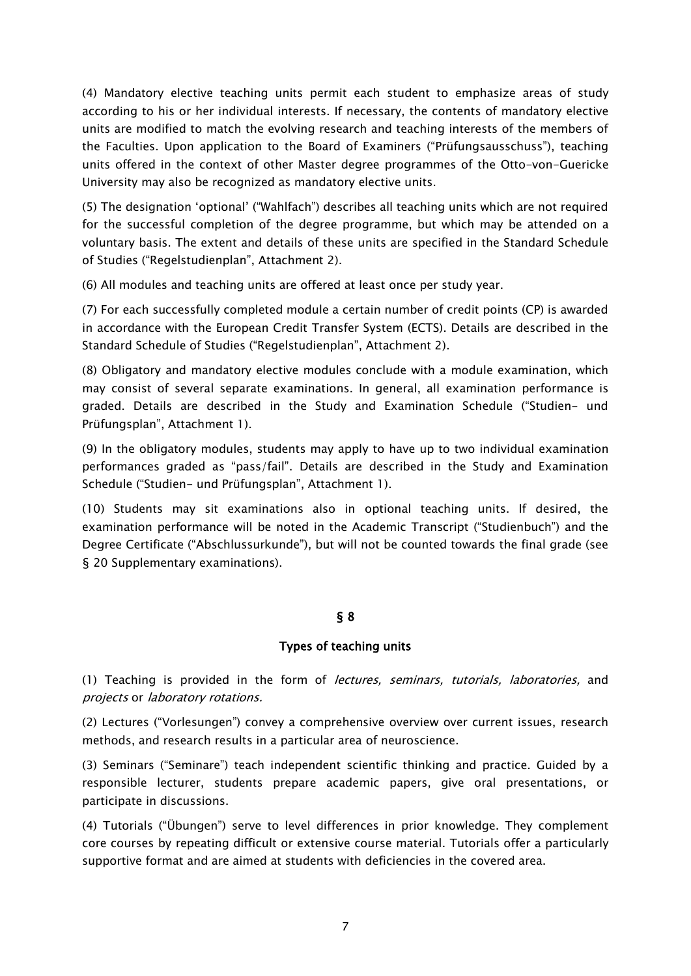(4) Mandatory elective teaching units permit each student to emphasize areas of study according to his or her individual interests. If necessary, the contents of mandatory elective units are modified to match the evolving research and teaching interests of the members of the Faculties. Upon application to the Board of Examiners ("Prüfungsausschuss"), teaching units offered in the context of other Master degree programmes of the Otto-von-Guericke University may also be recognized as mandatory elective units.

(5) The designation 'optional' ("Wahlfach") describes all teaching units which are not required for the successful completion of the degree programme, but which may be attended on a voluntary basis. The extent and details of these units are specified in the Standard Schedule of Studies ("Regelstudienplan", Attachment 2).

(6) All modules and teaching units are offered at least once per study year.

(7) For each successfully completed module a certain number of credit points (CP) is awarded in accordance with the European Credit Transfer System (ECTS). Details are described in the Standard Schedule of Studies ("Regelstudienplan", Attachment 2).

(8) Obligatory and mandatory elective modules conclude with a module examination, which may consist of several separate examinations. In general, all examination performance is graded. Details are described in the Study and Examination Schedule ("Studien- und Prüfungsplan", Attachment 1).

(9) In the obligatory modules, students may apply to have up to two individual examination performances graded as "pass/fail". Details are described in the Study and Examination Schedule ("Studien- und Prüfungsplan", Attachment 1).

(10) Students may sit examinations also in optional teaching units. If desired, the examination performance will be noted in the Academic Transcript ("Studienbuch") and the Degree Certificate ("Abschlussurkunde"), but will not be counted towards the final grade (see § 20 Supplementary examinations).

# § 8

### Types of teaching units

<span id="page-6-1"></span><span id="page-6-0"></span>(1) Teaching is provided in the form of *lectures, seminars, tutorials, laboratories*, and projects or laboratory rotations.

(2) Lectures ("Vorlesungen") convey a comprehensive overview over current issues, research methods, and research results in a particular area of neuroscience.

(3) Seminars ("Seminare") teach independent scientific thinking and practice. Guided by a responsible lecturer, students prepare academic papers, give oral presentations, or participate in discussions.

(4) Tutorials ("Übungen") serve to level differences in prior knowledge. They complement core courses by repeating difficult or extensive course material. Tutorials offer a particularly supportive format and are aimed at students with deficiencies in the covered area.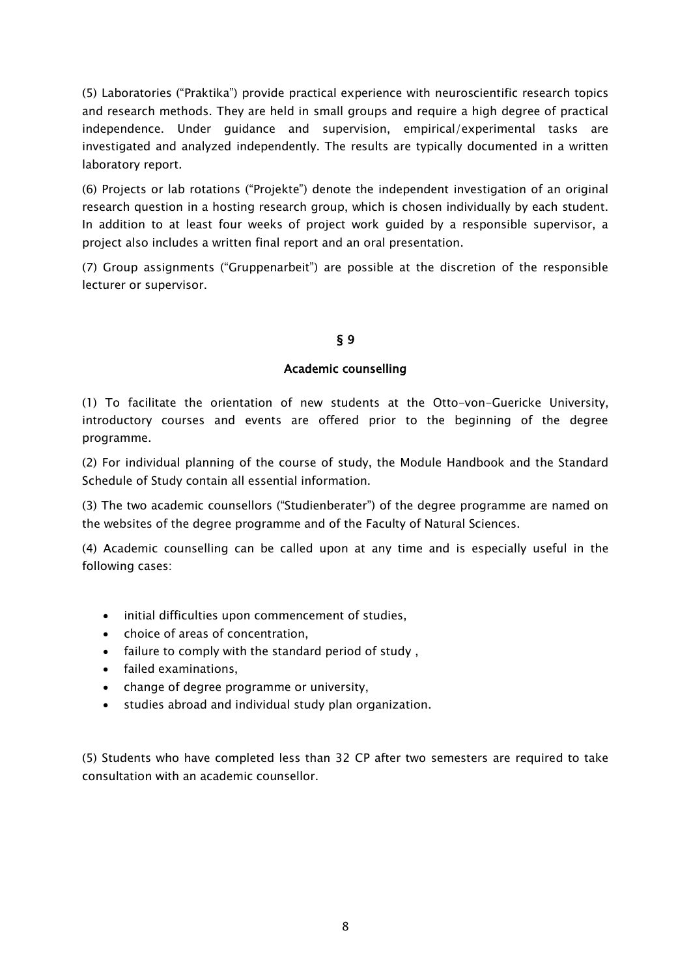(5) Laboratories ("Praktika") provide practical experience with neuroscientific research topics and research methods. They are held in small groups and require a high degree of practical independence. Under guidance and supervision, empirical/experimental tasks are investigated and analyzed independently. The results are typically documented in a written laboratory report.

(6) Projects or lab rotations ("Projekte") denote the independent investigation of an original research question in a hosting research group, which is chosen individually by each student. In addition to at least four weeks of project work guided by a responsible supervisor, a project also includes a written final report and an oral presentation.

<span id="page-7-0"></span>(7) Group assignments ("Gruppenarbeit") are possible at the discretion of the responsible lecturer or supervisor.

# § 9

### Academic counselling

<span id="page-7-1"></span>(1) To facilitate the orientation of new students at the Otto-von-Guericke University, introductory courses and events are offered prior to the beginning of the degree programme.

(2) For individual planning of the course of study, the Module Handbook and the Standard Schedule of Study contain all essential information.

(3) The two academic counsellors ("Studienberater") of the degree programme are named on the websites of the degree programme and of the Faculty of Natural Sciences.

(4) Academic counselling can be called upon at any time and is especially useful in the following cases:

- initial difficulties upon commencement of studies,
- choice of areas of concentration,
- failure to comply with the standard period of study ,
- failed examinations,
- change of degree programme or university,
- studies abroad and individual study plan organization.

(5) Students who have completed less than 32 CP after two semesters are required to take consultation with an academic counsellor.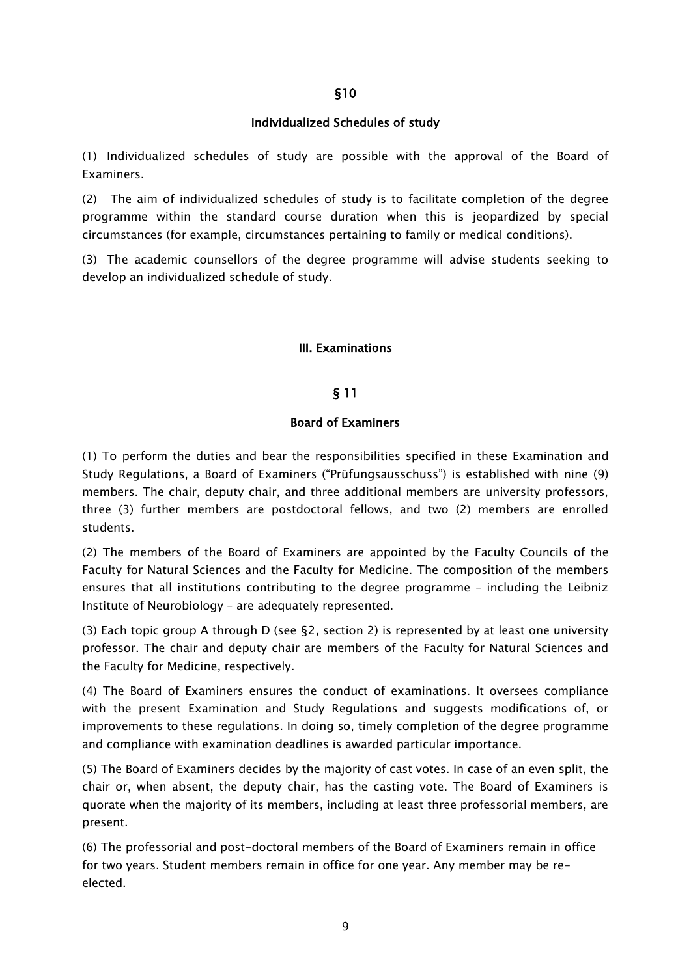### Individualized Schedules of study

<span id="page-8-1"></span><span id="page-8-0"></span>(1) Individualized schedules of study are possible with the approval of the Board of Examiners.

(2) The aim of individualized schedules of study is to facilitate completion of the degree programme within the standard course duration when this is jeopardized by special circumstances (for example, circumstances pertaining to family or medical conditions).

<span id="page-8-2"></span>(3) The academic counsellors of the degree programme will advise students seeking to develop an individualized schedule of study.

### III. Examinations

### § 11

### Board of Examiners

<span id="page-8-4"></span><span id="page-8-3"></span>(1) To perform the duties and bear the responsibilities specified in these Examination and Study Regulations, a Board of Examiners ("Prüfungsausschuss") is established with nine (9) members. The chair, deputy chair, and three additional members are university professors, three (3) further members are postdoctoral fellows, and two (2) members are enrolled students.

(2) The members of the Board of Examiners are appointed by the Faculty Councils of the Faculty for Natural Sciences and the Faculty for Medicine. The composition of the members ensures that all institutions contributing to the degree programme – including the Leibniz Institute of Neurobiology – are adequately represented.

(3) Each topic group A through D (see §2, section 2) is represented by at least one university professor. The chair and deputy chair are members of the Faculty for Natural Sciences and the Faculty for Medicine, respectively.

(4) The Board of Examiners ensures the conduct of examinations. It oversees compliance with the present Examination and Study Regulations and suggests modifications of, or improvements to these regulations. In doing so, timely completion of the degree programme and compliance with examination deadlines is awarded particular importance.

(5) The Board of Examiners decides by the majority of cast votes. In case of an even split, the chair or, when absent, the deputy chair, has the casting vote. The Board of Examiners is quorate when the majority of its members, including at least three professorial members, are present.

(6) The professorial and post-doctoral members of the Board of Examiners remain in office for two years. Student members remain in office for one year. Any member may be reelected.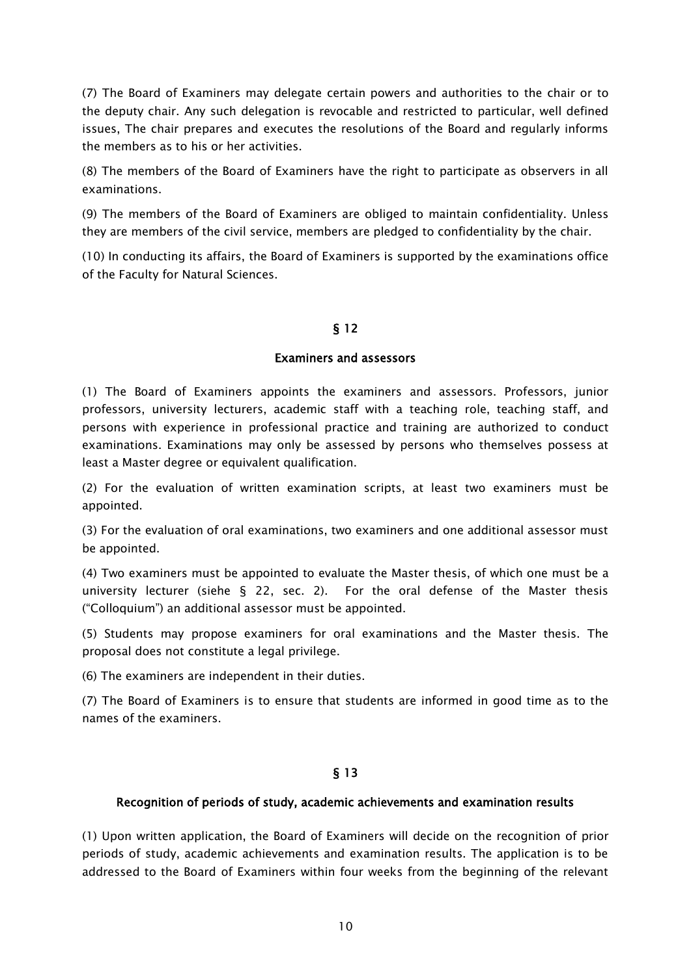(7) The Board of Examiners may delegate certain powers and authorities to the chair or to the deputy chair. Any such delegation is revocable and restricted to particular, well defined issues, The chair prepares and executes the resolutions of the Board and regularly informs the members as to his or her activities.

(8) The members of the Board of Examiners have the right to participate as observers in all examinations.

(9) The members of the Board of Examiners are obliged to maintain confidentiality. Unless they are members of the civil service, members are pledged to confidentiality by the chair.

<span id="page-9-0"></span>(10) In conducting its affairs, the Board of Examiners is supported by the examinations office of the Faculty for Natural Sciences.

# § 12

#### Examiners and assessors

<span id="page-9-1"></span>(1) The Board of Examiners appoints the examiners and assessors. Professors, junior professors, university lecturers, academic staff with a teaching role, teaching staff, and persons with experience in professional practice and training are authorized to conduct examinations. Examinations may only be assessed by persons who themselves possess at least a Master degree or equivalent qualification.

(2) For the evaluation of written examination scripts, at least two examiners must be appointed.

(3) For the evaluation of oral examinations, two examiners and one additional assessor must be appointed.

(4) Two examiners must be appointed to evaluate the Master thesis, of which one must be a university lecturer (siehe § 22, sec. 2). For the oral defense of the Master thesis ("Colloquium") an additional assessor must be appointed.

(5) Students may propose examiners for oral examinations and the Master thesis. The proposal does not constitute a legal privilege.

(6) The examiners are independent in their duties.

(7) The Board of Examiners is to ensure that students are informed in good time as to the names of the examiners.

### § 13

### <span id="page-9-3"></span><span id="page-9-2"></span>Recognition of periods of study, academic achievements and examination results

(1) Upon written application, the Board of Examiners will decide on the recognition of prior periods of study, academic achievements and examination results. The application is to be addressed to the Board of Examiners within four weeks from the beginning of the relevant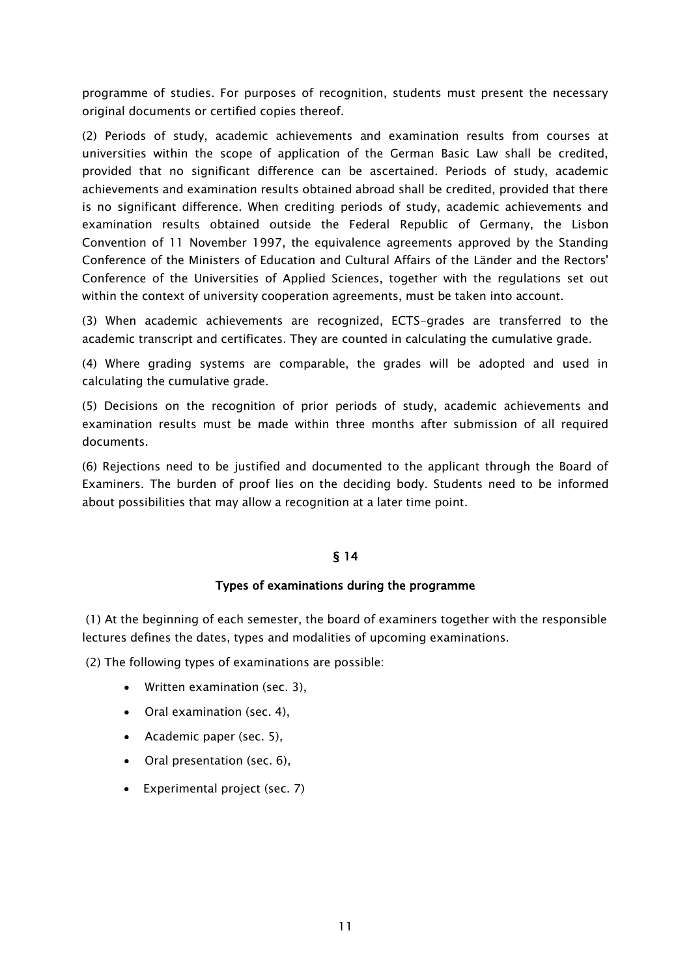programme of studies. For purposes of recognition, students must present the necessary original documents or certified copies thereof.

(2) Periods of study, academic achievements and examination results from courses at universities within the scope of application of the German Basic Law shall be credited, provided that no significant difference can be ascertained. Periods of study, academic achievements and examination results obtained abroad shall be credited, provided that there is no significant difference. When crediting periods of study, academic achievements and examination results obtained outside the Federal Republic of Germany, the Lisbon Convention of 11 November 1997, the equivalence agreements approved by the Standing Conference of the Ministers of Education and Cultural Affairs of the Länder and the Rectors' Conference of the Universities of Applied Sciences, together with the regulations set out within the context of university cooperation agreements, must be taken into account.

(3) When academic achievements are recognized, ECTS-grades are transferred to the academic transcript and certificates. They are counted in calculating the cumulative grade.

(4) Where grading systems are comparable, the grades will be adopted and used in calculating the cumulative grade.

(5) Decisions on the recognition of prior periods of study, academic achievements and examination results must be made within three months after submission of all required documents.

<span id="page-10-0"></span>(6) Rejections need to be justified and documented to the applicant through the Board of Examiners. The burden of proof lies on the deciding body. Students need to be informed about possibilities that may allow a recognition at a later time point.

### § 14

#### Types of examinations during the programme

<span id="page-10-1"></span>(1) At the beginning of each semester, the board of examiners together with the responsible lectures defines the dates, types and modalities of upcoming examinations.

(2) The following types of examinations are possible:

- Written examination (sec. 3),
- Oral examination (sec. 4),
- Academic paper (sec. 5),
- Oral presentation (sec. 6).
- Experimental project (sec. 7)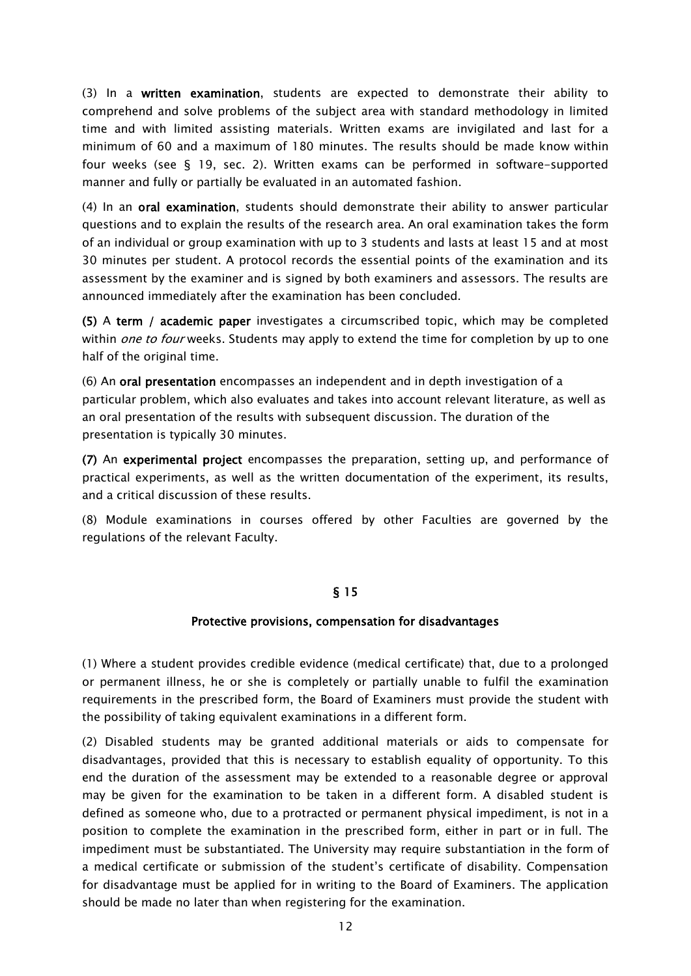(3) In a written examination, students are expected to demonstrate their ability to comprehend and solve problems of the subject area with standard methodology in limited time and with limited assisting materials. Written exams are invigilated and last for a minimum of 60 and a maximum of 180 minutes. The results should be made know within four weeks (see § 19, sec. 2). Written exams can be performed in software-supported manner and fully or partially be evaluated in an automated fashion.

(4) In an oral examination, students should demonstrate their ability to answer particular questions and to explain the results of the research area. An oral examination takes the form of an individual or group examination with up to 3 students and lasts at least 15 and at most 30 minutes per student. A protocol records the essential points of the examination and its assessment by the examiner and is signed by both examiners and assessors. The results are announced immediately after the examination has been concluded.

(5) A term / academic paper investigates a circumscribed topic, which may be completed within *one to four* weeks. Students may apply to extend the time for completion by up to one half of the original time.

(6) An oral presentation encompasses an independent and in depth investigation of a particular problem, which also evaluates and takes into account relevant literature, as well as an oral presentation of the results with subsequent discussion. The duration of the presentation is typically 30 minutes.

(7) An experimental project encompasses the preparation, setting up, and performance of practical experiments, as well as the written documentation of the experiment, its results, and a critical discussion of these results.

<span id="page-11-0"></span>(8) Module examinations in courses offered by other Faculties are governed by the regulations of the relevant Faculty.

### § 15

#### Protective provisions, compensation for disadvantages

<span id="page-11-1"></span>(1) Where a student provides credible evidence (medical certificate) that, due to a prolonged or permanent illness, he or she is completely or partially unable to fulfil the examination requirements in the prescribed form, the Board of Examiners must provide the student with the possibility of taking equivalent examinations in a different form.

(2) Disabled students may be granted additional materials or aids to compensate for disadvantages, provided that this is necessary to establish equality of opportunity. To this end the duration of the assessment may be extended to a reasonable degree or approval may be given for the examination to be taken in a different form. A disabled student is defined as someone who, due to a protracted or permanent physical impediment, is not in a position to complete the examination in the prescribed form, either in part or in full. The impediment must be substantiated. The University may require substantiation in the form of a medical certificate or submission of the student's certificate of disability. Compensation for disadvantage must be applied for in writing to the Board of Examiners. The application should be made no later than when registering for the examination.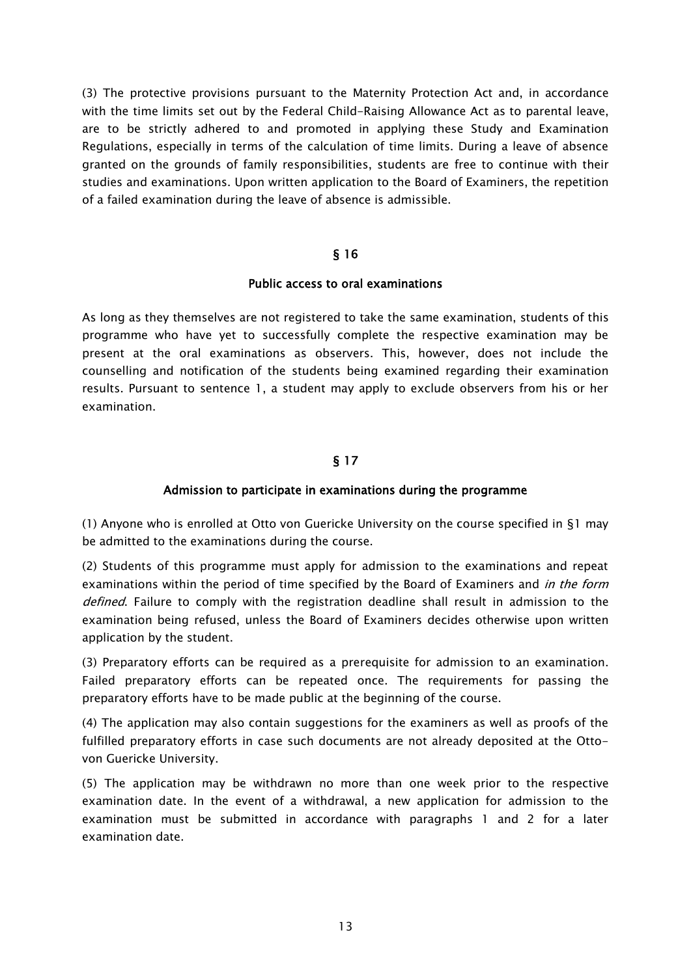(3) The protective provisions pursuant to the Maternity Protection Act and, in accordance with the time limits set out by the Federal Child-Raising Allowance Act as to parental leave, are to be strictly adhered to and promoted in applying these Study and Examination Regulations, especially in terms of the calculation of time limits. During a leave of absence granted on the grounds of family responsibilities, students are free to continue with their studies and examinations. Upon written application to the Board of Examiners, the repetition of a failed examination during the leave of absence is admissible.

#### § 16

#### Public access to oral examinations

<span id="page-12-1"></span><span id="page-12-0"></span>As long as they themselves are not registered to take the same examination, students of this programme who have yet to successfully complete the respective examination may be present at the oral examinations as observers. This, however, does not include the counselling and notification of the students being examined regarding their examination results. Pursuant to sentence 1, a student may apply to exclude observers from his or her examination.

# § 17

#### Admission to participate in examinations during the programme

(1) Anyone who is enrolled at Otto von Guericke University on the course specified in §1 may be admitted to the examinations during the course.

(2) Students of this programme must apply for admission to the examinations and repeat examinations within the period of time specified by the Board of Examiners and *in the form* defined. Failure to comply with the registration deadline shall result in admission to the examination being refused, unless the Board of Examiners decides otherwise upon written application by the student.

(3) Preparatory efforts can be required as a prerequisite for admission to an examination. Failed preparatory efforts can be repeated once. The requirements for passing the preparatory efforts have to be made public at the beginning of the course.

(4) The application may also contain suggestions for the examiners as well as proofs of the fulfilled preparatory efforts in case such documents are not already deposited at the Ottovon Guericke University.

(5) The application may be withdrawn no more than one week prior to the respective examination date. In the event of a withdrawal, a new application for admission to the examination must be submitted in accordance with paragraphs 1 and 2 for a later examination date.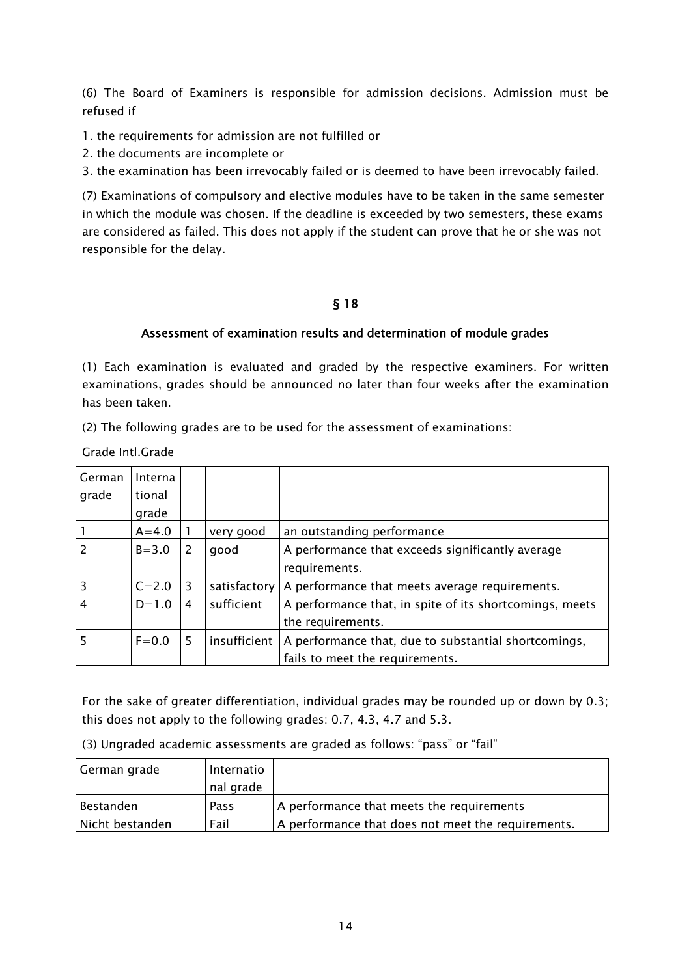(6) The Board of Examiners is responsible for admission decisions. Admission must be refused if

1. the requirements for admission are not fulfilled or

2. the documents are incomplete or

3. the examination has been irrevocably failed or is deemed to have been irrevocably failed.

(7) Examinations of compulsory and elective modules have to be taken in the same semester in which the module was chosen. If the deadline is exceeded by two semesters, these exams are considered as failed. This does not apply if the student can prove that he or she was not responsible for the delay.

### § 18

### Assessment of examination results and determination of module grades

(1) Each examination is evaluated and graded by the respective examiners. For written examinations, grades should be announced no later than four weeks after the examination has been taken.

(2) The following grades are to be used for the assessment of examinations:

Grade Intl.Grade

| German         | Interna   |   |              |                                                         |
|----------------|-----------|---|--------------|---------------------------------------------------------|
| grade          | tional    |   |              |                                                         |
|                | grade     |   |              |                                                         |
|                | $A = 4.0$ |   | very good    | an outstanding performance                              |
| $\overline{2}$ | $B = 3.0$ | 2 | good         | A performance that exceeds significantly average        |
|                |           |   |              | requirements.                                           |
| $\overline{3}$ | $C = 2.0$ | 3 | satisfactory | A performance that meets average requirements.          |
| $\overline{4}$ | $D=1.0$   | 4 | sufficient   | A performance that, in spite of its shortcomings, meets |
|                |           |   |              | the requirements.                                       |
| 5              | $F = 0.0$ | 5 | insufficient | A performance that, due to substantial shortcomings,    |
|                |           |   |              | fails to meet the requirements.                         |

For the sake of greater differentiation, individual grades may be rounded up or down by 0.3; this does not apply to the following grades: 0.7, 4.3, 4.7 and 5.3.

| (3) Ungraded academic assessments are graded as follows: "pass" or "fail" |  |  |
|---------------------------------------------------------------------------|--|--|
|---------------------------------------------------------------------------|--|--|

| German grade    | Internatio |                                                    |
|-----------------|------------|----------------------------------------------------|
|                 | nal grade  |                                                    |
| Bestanden       | Pass       | A performance that meets the requirements          |
| Nicht bestanden | Fail       | A performance that does not meet the requirements. |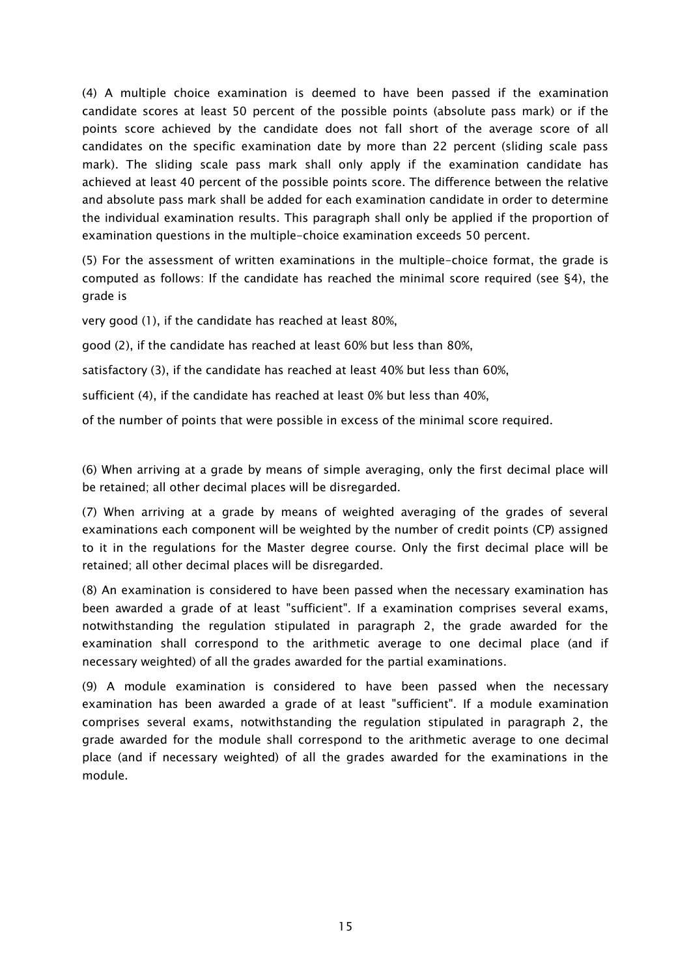(4) A multiple choice examination is deemed to have been passed if the examination candidate scores at least 50 percent of the possible points (absolute pass mark) or if the points score achieved by the candidate does not fall short of the average score of all candidates on the specific examination date by more than 22 percent (sliding scale pass mark). The sliding scale pass mark shall only apply if the examination candidate has achieved at least 40 percent of the possible points score. The difference between the relative and absolute pass mark shall be added for each examination candidate in order to determine the individual examination results. This paragraph shall only be applied if the proportion of examination questions in the multiple-choice examination exceeds 50 percent.

(5) For the assessment of written examinations in the multiple-choice format, the grade is computed as follows: If the candidate has reached the minimal score required (see §4), the grade is

very good (1), if the candidate has reached at least 80%,

good (2), if the candidate has reached at least 60% but less than 80%,

satisfactory (3), if the candidate has reached at least 40% but less than 60%,

sufficient (4), if the candidate has reached at least 0% but less than 40%,

of the number of points that were possible in excess of the minimal score required.

(6) When arriving at a grade by means of simple averaging, only the first decimal place will be retained; all other decimal places will be disregarded.

(7) When arriving at a grade by means of weighted averaging of the grades of several examinations each component will be weighted by the number of credit points (CP) assigned to it in the regulations for the Master degree course. Only the first decimal place will be retained; all other decimal places will be disregarded.

(8) An examination is considered to have been passed when the necessary examination has been awarded a grade of at least "sufficient". If a examination comprises several exams, notwithstanding the regulation stipulated in paragraph 2, the grade awarded for the examination shall correspond to the arithmetic average to one decimal place (and if necessary weighted) of all the grades awarded for the partial examinations.

(9) A module examination is considered to have been passed when the necessary examination has been awarded a grade of at least "sufficient". If a module examination comprises several exams, notwithstanding the regulation stipulated in paragraph 2, the grade awarded for the module shall correspond to the arithmetic average to one decimal place (and if necessary weighted) of all the grades awarded for the examinations in the module.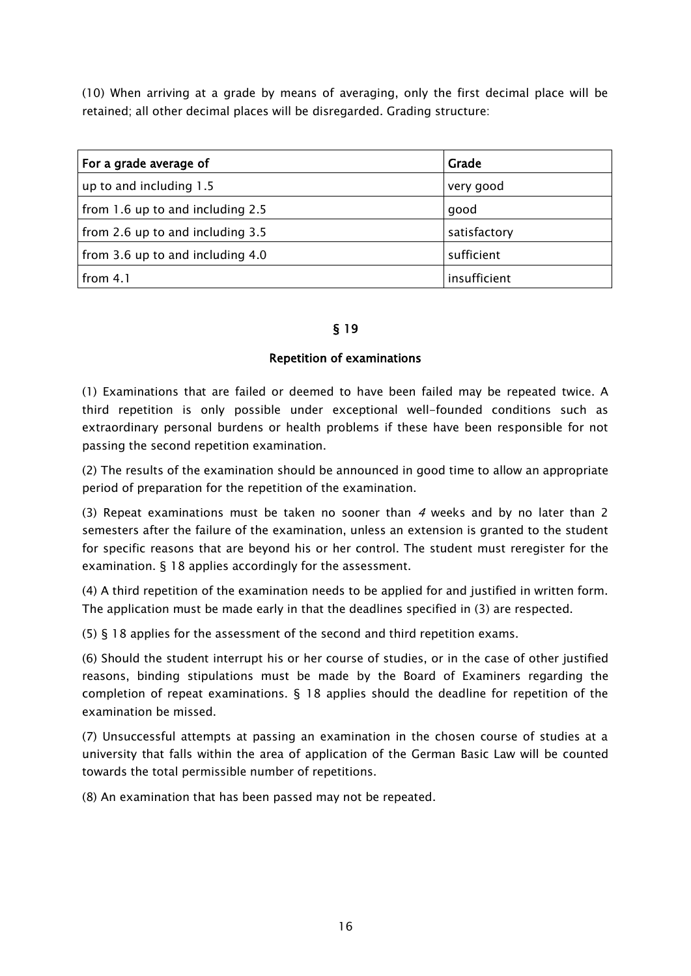(10) When arriving at a grade by means of averaging, only the first decimal place will be retained; all other decimal places will be disregarded. Grading structure:

| For a grade average of           | Grade        |
|----------------------------------|--------------|
| up to and including 1.5          | very good    |
| from 1.6 up to and including 2.5 | good         |
| from 2.6 up to and including 3.5 | satisfactory |
| from 3.6 up to and including 4.0 | sufficient   |
| from $4.1$                       | insufficient |

### § 19

### Repetition of examinations

(1) Examinations that are failed or deemed to have been failed may be repeated twice. A third repetition is only possible under exceptional well-founded conditions such as extraordinary personal burdens or health problems if these have been responsible for not passing the second repetition examination.

(2) The results of the examination should be announced in good time to allow an appropriate period of preparation for the repetition of the examination.

(3) Repeat examinations must be taken no sooner than 4 weeks and by no later than 2 semesters after the failure of the examination, unless an extension is granted to the student for specific reasons that are beyond his or her control. The student must reregister for the examination. § 18 applies accordingly for the assessment.

(4) A third repetition of the examination needs to be applied for and justified in written form. The application must be made early in that the deadlines specified in (3) are respected.

(5) § 18 applies for the assessment of the second and third repetition exams.

(6) Should the student interrupt his or her course of studies, or in the case of other justified reasons, binding stipulations must be made by the Board of Examiners regarding the completion of repeat examinations. § 18 applies should the deadline for repetition of the examination be missed.

(7) Unsuccessful attempts at passing an examination in the chosen course of studies at a university that falls within the area of application of the German Basic Law will be counted towards the total permissible number of repetitions.

(8) An examination that has been passed may not be repeated.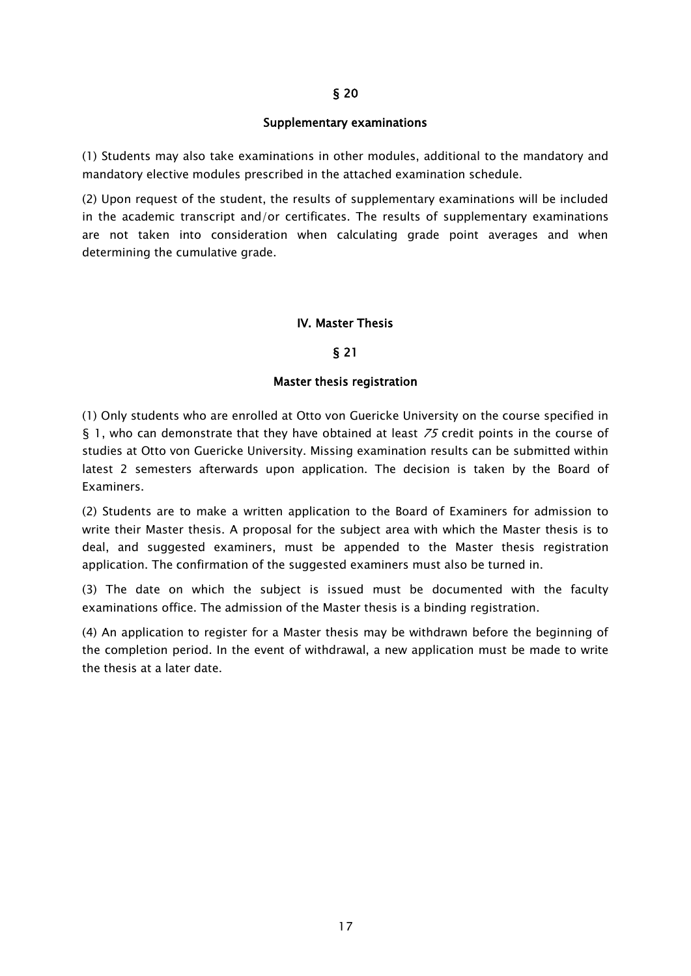#### Supplementary examinations

(1) Students may also take examinations in other modules, additional to the mandatory and mandatory elective modules prescribed in the attached examination schedule.

(2) Upon request of the student, the results of supplementary examinations will be included in the academic transcript and/or certificates. The results of supplementary examinations are not taken into consideration when calculating grade point averages and when determining the cumulative grade.

#### IV. Master Thesis

#### § 21

#### Master thesis registration

(1) Only students who are enrolled at Otto von Guericke University on the course specified in § 1, who can demonstrate that they have obtained at least  $75$  credit points in the course of studies at Otto von Guericke University. Missing examination results can be submitted within latest 2 semesters afterwards upon application. The decision is taken by the Board of Examiners.

(2) Students are to make a written application to the Board of Examiners for admission to write their Master thesis. A proposal for the subject area with which the Master thesis is to deal, and suggested examiners, must be appended to the Master thesis registration application. The confirmation of the suggested examiners must also be turned in.

(3) The date on which the subject is issued must be documented with the faculty examinations office. The admission of the Master thesis is a binding registration.

(4) An application to register for a Master thesis may be withdrawn before the beginning of the completion period. In the event of withdrawal, a new application must be made to write the thesis at a later date.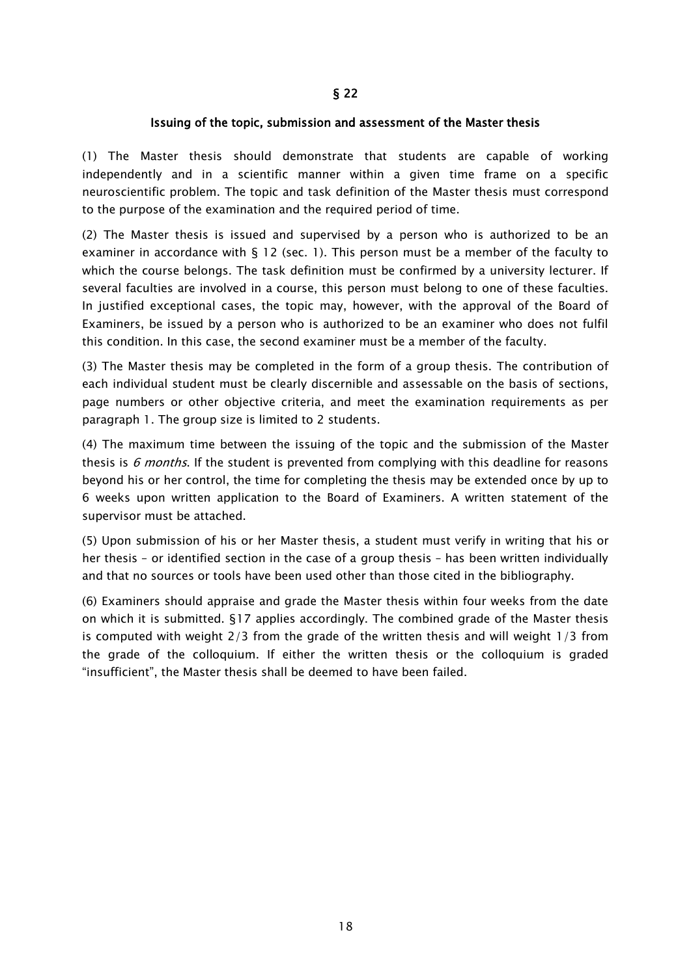#### Issuing of the topic, submission and assessment of the Master thesis

(1) The Master thesis should demonstrate that students are capable of working independently and in a scientific manner within a given time frame on a specific neuroscientific problem. The topic and task definition of the Master thesis must correspond to the purpose of the examination and the required period of time.

(2) The Master thesis is issued and supervised by a person who is authorized to be an examiner in accordance with § 12 (sec. 1). This person must be a member of the faculty to which the course belongs. The task definition must be confirmed by a university lecturer. If several faculties are involved in a course, this person must belong to one of these faculties. In justified exceptional cases, the topic may, however, with the approval of the Board of Examiners, be issued by a person who is authorized to be an examiner who does not fulfil this condition. In this case, the second examiner must be a member of the faculty.

(3) The Master thesis may be completed in the form of a group thesis. The contribution of each individual student must be clearly discernible and assessable on the basis of sections, page numbers or other objective criteria, and meet the examination requirements as per paragraph 1. The group size is limited to 2 students.

(4) The maximum time between the issuing of the topic and the submission of the Master thesis is  $6$  months. If the student is prevented from complying with this deadline for reasons beyond his or her control, the time for completing the thesis may be extended once by up to 6 weeks upon written application to the Board of Examiners. A written statement of the supervisor must be attached.

(5) Upon submission of his or her Master thesis, a student must verify in writing that his or her thesis – or identified section in the case of a group thesis – has been written individually and that no sources or tools have been used other than those cited in the bibliography.

(6) Examiners should appraise and grade the Master thesis within four weeks from the date on which it is submitted. §17 applies accordingly. The combined grade of the Master thesis is computed with weight 2/3 from the grade of the written thesis and will weight 1/3 from the grade of the colloquium. If either the written thesis or the colloquium is graded "insufficient", the Master thesis shall be deemed to have been failed.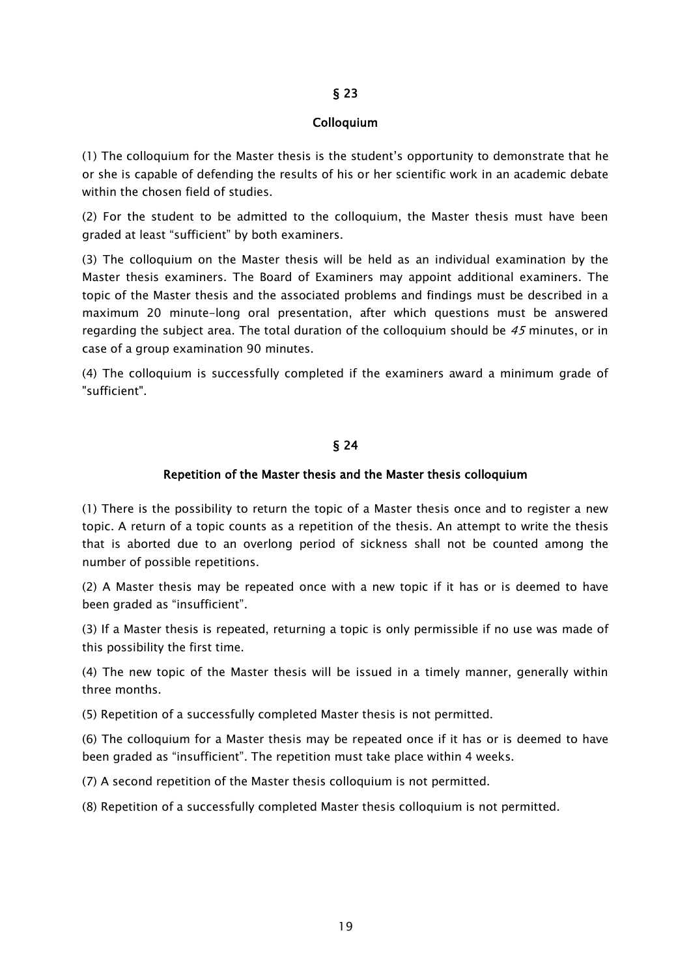#### Colloquium

(1) The colloquium for the Master thesis is the student's opportunity to demonstrate that he or she is capable of defending the results of his or her scientific work in an academic debate within the chosen field of studies.

(2) For the student to be admitted to the colloquium, the Master thesis must have been graded at least "sufficient" by both examiners.

(3) The colloquium on the Master thesis will be held as an individual examination by the Master thesis examiners. The Board of Examiners may appoint additional examiners. The topic of the Master thesis and the associated problems and findings must be described in a maximum 20 minute-long oral presentation, after which questions must be answered regarding the subject area. The total duration of the colloquium should be  $45$  minutes, or in case of a group examination 90 minutes.

(4) The colloquium is successfully completed if the examiners award a minimum grade of "sufficient".

#### § 24

#### Repetition of the Master thesis and the Master thesis colloquium

(1) There is the possibility to return the topic of a Master thesis once and to register a new topic. A return of a topic counts as a repetition of the thesis. An attempt to write the thesis that is aborted due to an overlong period of sickness shall not be counted among the number of possible repetitions.

(2) A Master thesis may be repeated once with a new topic if it has or is deemed to have been graded as "insufficient".

(3) If a Master thesis is repeated, returning a topic is only permissible if no use was made of this possibility the first time.

(4) The new topic of the Master thesis will be issued in a timely manner, generally within three months.

(5) Repetition of a successfully completed Master thesis is not permitted.

(6) The colloquium for a Master thesis may be repeated once if it has or is deemed to have been graded as "insufficient". The repetition must take place within 4 weeks.

(7) A second repetition of the Master thesis colloquium is not permitted.

(8) Repetition of a successfully completed Master thesis colloquium is not permitted.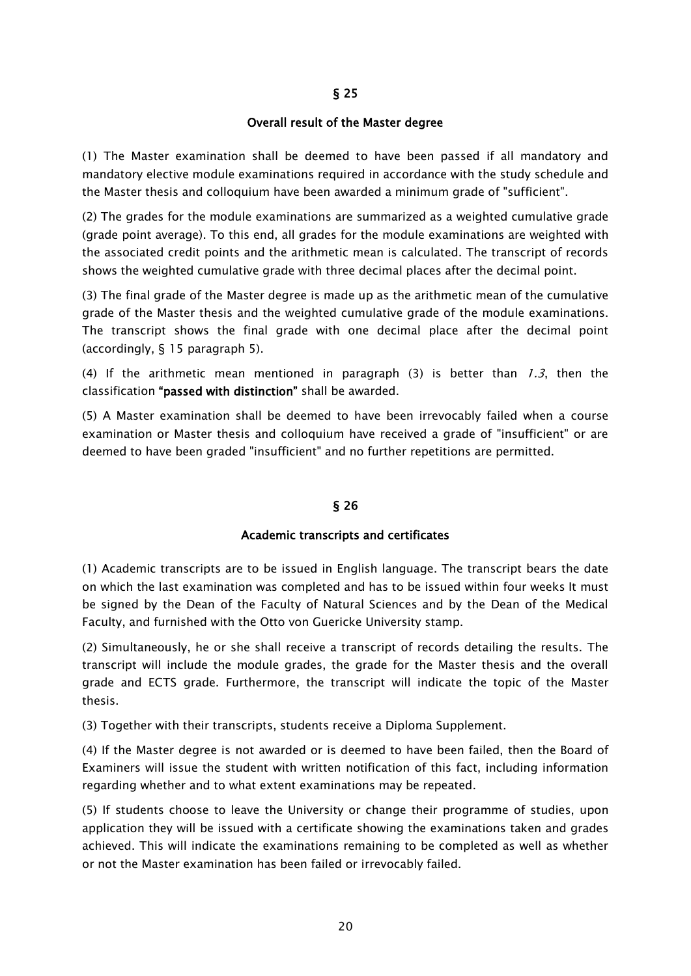#### Overall result of the Master degree

(1) The Master examination shall be deemed to have been passed if all mandatory and mandatory elective module examinations required in accordance with the study schedule and the Master thesis and colloquium have been awarded a minimum grade of "sufficient".

(2) The grades for the module examinations are summarized as a weighted cumulative grade (grade point average). To this end, all grades for the module examinations are weighted with the associated credit points and the arithmetic mean is calculated. The transcript of records shows the weighted cumulative grade with three decimal places after the decimal point.

(3) The final grade of the Master degree is made up as the arithmetic mean of the cumulative grade of the Master thesis and the weighted cumulative grade of the module examinations. The transcript shows the final grade with one decimal place after the decimal point (accordingly, § 15 paragraph 5).

(4) If the arithmetic mean mentioned in paragraph (3) is better than  $1.3$ , then the classification "passed with distinction" shall be awarded.

(5) A Master examination shall be deemed to have been irrevocably failed when a course examination or Master thesis and colloquium have received a grade of "insufficient" or are deemed to have been graded "insufficient" and no further repetitions are permitted.

### § 26

#### Academic transcripts and certificates

(1) Academic transcripts are to be issued in English language. The transcript bears the date on which the last examination was completed and has to be issued within four weeks It must be signed by the Dean of the Faculty of Natural Sciences and by the Dean of the Medical Faculty, and furnished with the Otto von Guericke University stamp.

(2) Simultaneously, he or she shall receive a transcript of records detailing the results. The transcript will include the module grades, the grade for the Master thesis and the overall grade and ECTS grade. Furthermore, the transcript will indicate the topic of the Master thesis.

(3) Together with their transcripts, students receive a Diploma Supplement.

(4) If the Master degree is not awarded or is deemed to have been failed, then the Board of Examiners will issue the student with written notification of this fact, including information regarding whether and to what extent examinations may be repeated.

(5) If students choose to leave the University or change their programme of studies, upon application they will be issued with a certificate showing the examinations taken and grades achieved. This will indicate the examinations remaining to be completed as well as whether or not the Master examination has been failed or irrevocably failed.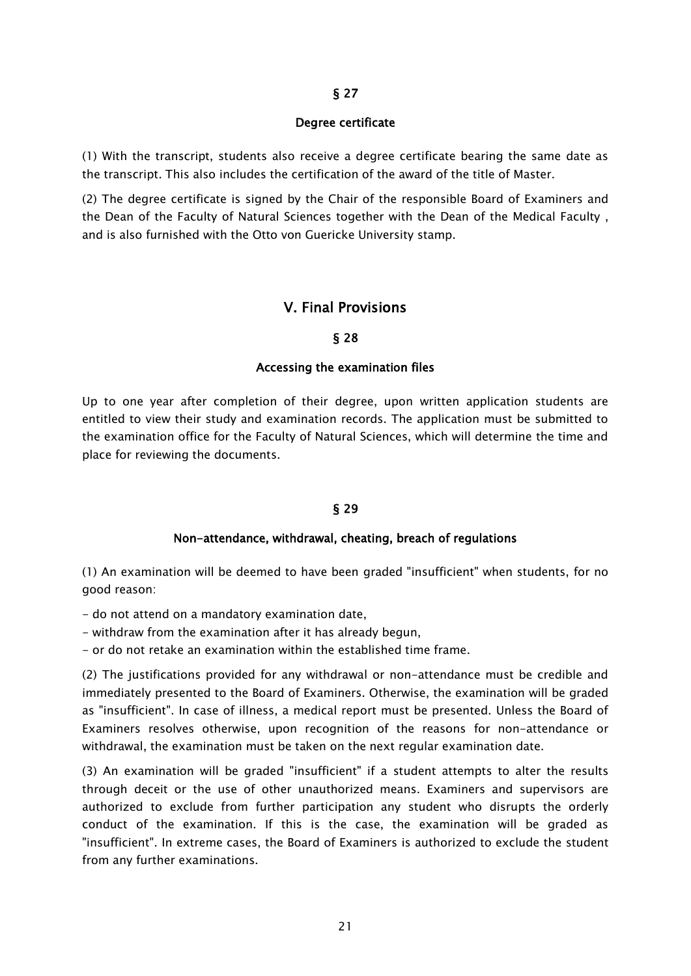#### Degree certificate

(1) With the transcript, students also receive a degree certificate bearing the same date as the transcript. This also includes the certification of the award of the title of Master.

(2) The degree certificate is signed by the Chair of the responsible Board of Examiners and the Dean of the Faculty of Natural Sciences together with the Dean of the Medical Faculty , and is also furnished with the Otto von Guericke University stamp.

### V. Final Provisions

#### § 28

#### Accessing the examination files

Up to one year after completion of their degree, upon written application students are entitled to view their study and examination records. The application must be submitted to the examination office for the Faculty of Natural Sciences, which will determine the time and place for reviewing the documents.

#### § 29

#### Non-attendance, withdrawal, cheating, breach of regulations

(1) An examination will be deemed to have been graded "insufficient" when students, for no good reason:

- do not attend on a mandatory examination date,

- withdraw from the examination after it has already begun,

- or do not retake an examination within the established time frame.

(2) The justifications provided for any withdrawal or non-attendance must be credible and immediately presented to the Board of Examiners. Otherwise, the examination will be graded as "insufficient". In case of illness, a medical report must be presented. Unless the Board of Examiners resolves otherwise, upon recognition of the reasons for non-attendance or withdrawal, the examination must be taken on the next regular examination date.

(3) An examination will be graded "insufficient" if a student attempts to alter the results through deceit or the use of other unauthorized means. Examiners and supervisors are authorized to exclude from further participation any student who disrupts the orderly conduct of the examination. If this is the case, the examination will be graded as "insufficient". In extreme cases, the Board of Examiners is authorized to exclude the student from any further examinations.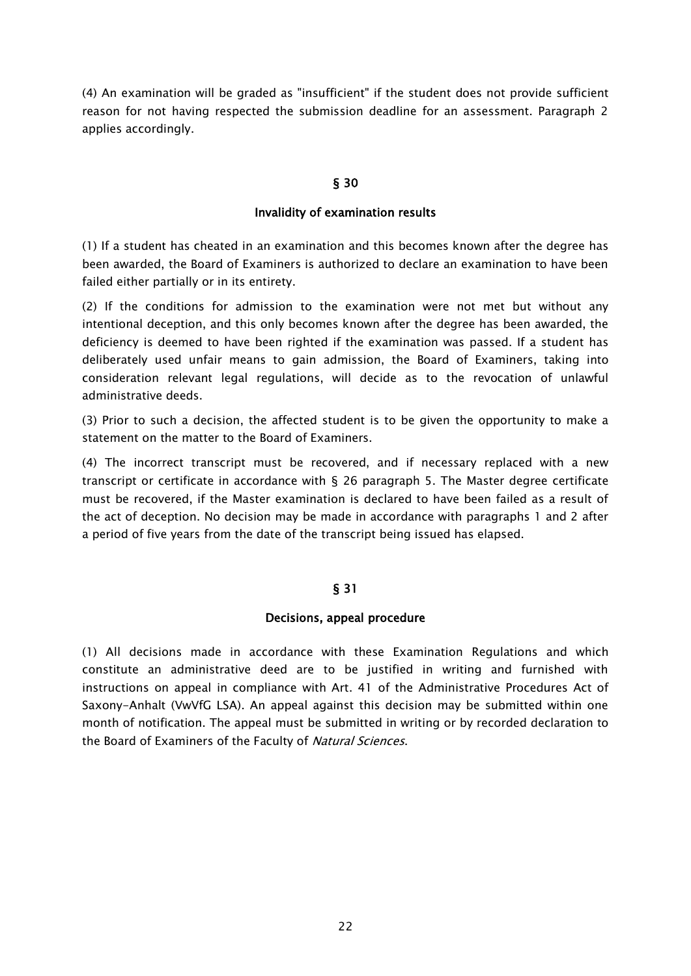(4) An examination will be graded as "insufficient" if the student does not provide sufficient reason for not having respected the submission deadline for an assessment. Paragraph 2 applies accordingly.

### § 30

#### Invalidity of examination results

(1) If a student has cheated in an examination and this becomes known after the degree has been awarded, the Board of Examiners is authorized to declare an examination to have been failed either partially or in its entirety.

(2) If the conditions for admission to the examination were not met but without any intentional deception, and this only becomes known after the degree has been awarded, the deficiency is deemed to have been righted if the examination was passed. If a student has deliberately used unfair means to gain admission, the Board of Examiners, taking into consideration relevant legal regulations, will decide as to the revocation of unlawful administrative deeds.

(3) Prior to such a decision, the affected student is to be given the opportunity to make a statement on the matter to the Board of Examiners.

(4) The incorrect transcript must be recovered, and if necessary replaced with a new transcript or certificate in accordance with § 26 paragraph 5. The Master degree certificate must be recovered, if the Master examination is declared to have been failed as a result of the act of deception. No decision may be made in accordance with paragraphs 1 and 2 after a period of five years from the date of the transcript being issued has elapsed.

### § 31

#### Decisions, appeal procedure

(1) All decisions made in accordance with these Examination Regulations and which constitute an administrative deed are to be justified in writing and furnished with instructions on appeal in compliance with Art. 41 of the Administrative Procedures Act of Saxony-Anhalt (VwVfG LSA). An appeal against this decision may be submitted within one month of notification. The appeal must be submitted in writing or by recorded declaration to the Board of Examiners of the Faculty of Natural Sciences.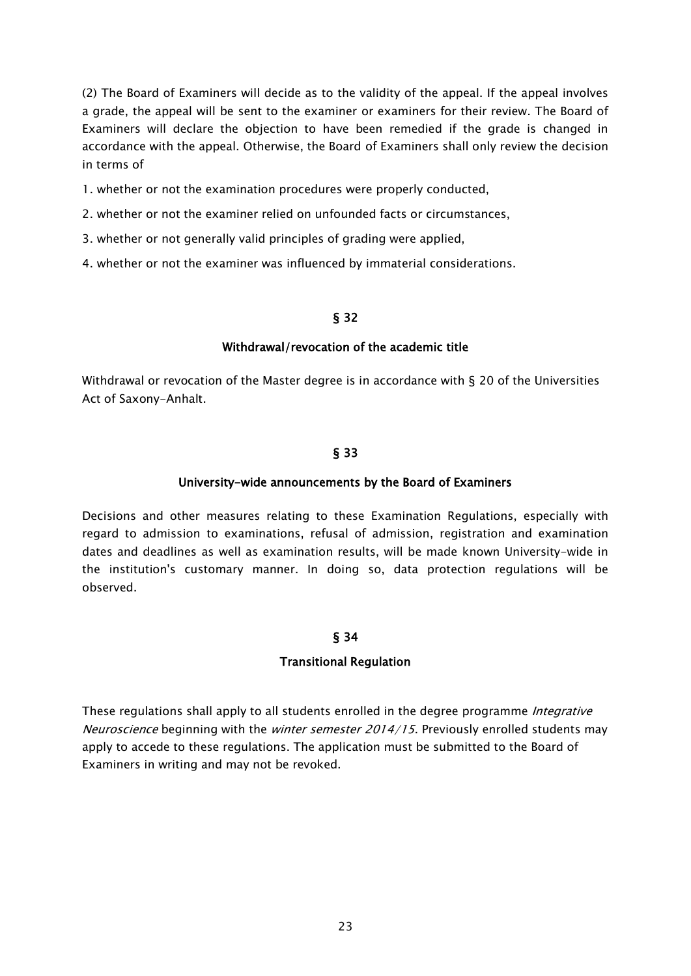(2) The Board of Examiners will decide as to the validity of the appeal. If the appeal involves a grade, the appeal will be sent to the examiner or examiners for their review. The Board of Examiners will declare the objection to have been remedied if the grade is changed in accordance with the appeal. Otherwise, the Board of Examiners shall only review the decision in terms of

- 1. whether or not the examination procedures were properly conducted,
- 2. whether or not the examiner relied on unfounded facts or circumstances,
- 3. whether or not generally valid principles of grading were applied,
- 4. whether or not the examiner was influenced by immaterial considerations.

#### § 32

#### Withdrawal/revocation of the academic title

Withdrawal or revocation of the Master degree is in accordance with § 20 of the Universities Act of Saxony-Anhalt.

### § 33

### University-wide announcements by the Board of Examiners

Decisions and other measures relating to these Examination Regulations, especially with regard to admission to examinations, refusal of admission, registration and examination dates and deadlines as well as examination results, will be made known University-wide in the institution's customary manner. In doing so, data protection regulations will be observed.

### § 34

### Transitional Regulation

These regulations shall apply to all students enrolled in the degree programme *Integrative* Neuroscience beginning with the winter semester 2014/15. Previously enrolled students may apply to accede to these regulations. The application must be submitted to the Board of Examiners in writing and may not be revoked.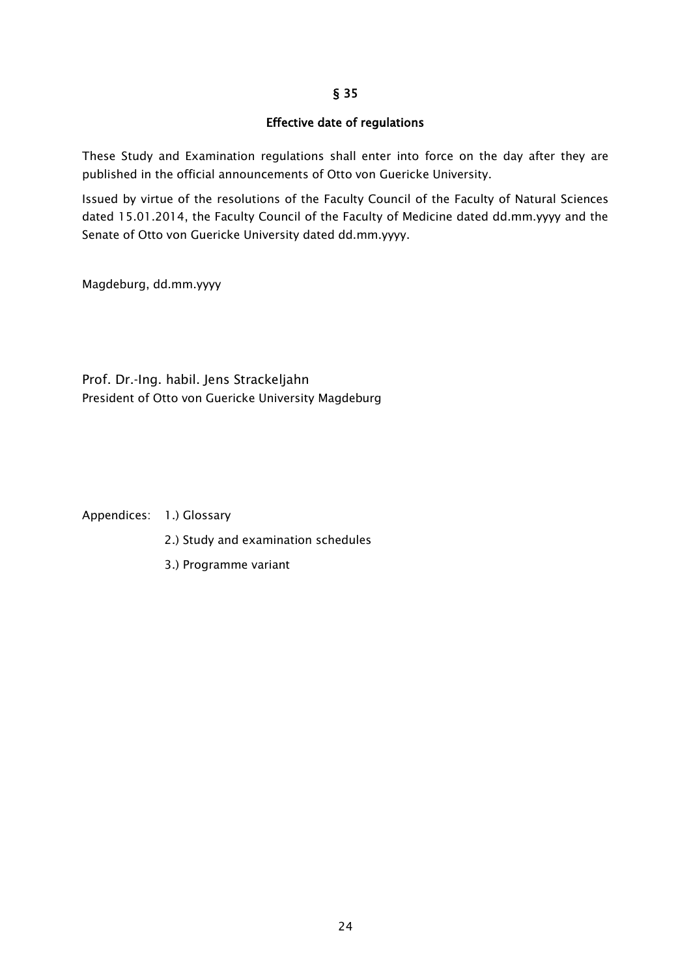### Effective date of regulations

These Study and Examination regulations shall enter into force on the day after they are published in the official announcements of Otto von Guericke University.

Issued by virtue of the resolutions of the Faculty Council of the Faculty of Natural Sciences dated 15.01.2014, the Faculty Council of the Faculty of Medicine dated dd.mm.yyyy and the Senate of Otto von Guericke University dated dd.mm.yyyy.

Magdeburg, dd.mm.yyyy

Prof. Dr.-Ing. habil. Jens Strackeljahn President of Otto von Guericke University Magdeburg

Appendices: 1.) Glossary

- 2.) Study and examination schedules
- 3.) Programme variant